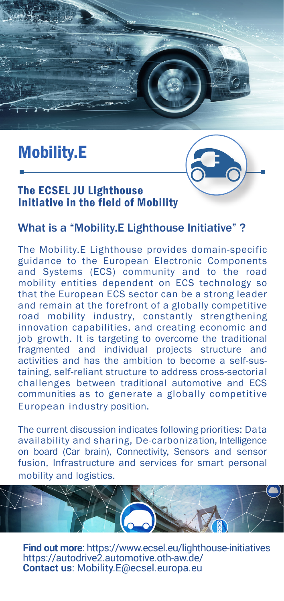

# Mobility.E



### The ECSEL JU Lighthouse Initiative in the field of Mobility

### What is a "Mobility.E Lighthouse Initiative" ?

The Mobility.E Lighthouse provides domain-specific guidance to the European Electronic Components and Systems (ECS) community and to the road mobility entities dependent on ECS technology so that the European ECS sector can be a strong leader and remain at the forefront of a globally competitive road mobility industry, constantly strengthening innovation capabilities, and creating economic and job growth. It is targeting to overcome the traditional fragmented and individual projects structure and activities and has the ambition to become a self-sustaining, self-reliant structure to address cross-sectorial challenges between traditional automotive and ECS communities as to generate a globally competitive European industry position.

The current discussion indicates following priorities: Data availability and sharing, De-carbonization, Intelligence on board (Car brain), Connectivity, Sensors and sensor fusion, Infrastructure and services for smart personal mobility and logistics.



**Find out more**: https://www.ecsel.eu/lighthouse-initiatives https://autodrive2.automotive.oth-aw.de/ **Contact us**: Mobility.E@ecsel.europa.eu